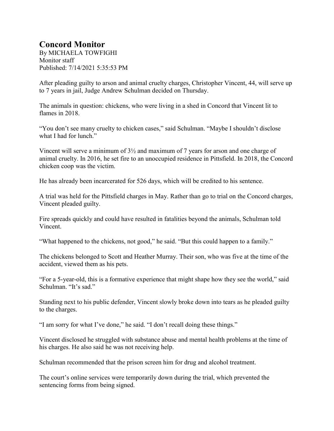## **Concord Monitor**

By MICHAELA TOWFIGHI Monitor staff Published: 7/14/2021 5:35:53 PM

After pleading guilty to arson and animal cruelty charges, Christopher Vincent, 44, will serve up to 7 years in jail, Judge Andrew Schulman decided on Thursday.

The animals in question: chickens, who were living in a shed in Concord that Vincent lit to flames in 2018.

"You don't see many cruelty to chicken cases," said Schulman. "Maybe I shouldn't disclose what I had for lunch."

Vincent will serve a minimum of 3½ and maximum of 7 years for arson and one charge of animal cruelty. In 2016, he set fire to an unoccupied residence in Pittsfield. In 2018, the Concord chicken coop was the victim.

He has already been incarcerated for 526 days, which will be credited to his sentence.

A trial was held for the Pittsfield charges in May. Rather than go to trial on the Concord charges, Vincent pleaded guilty.

Fire spreads quickly and could have resulted in fatalities beyond the animals, Schulman told Vincent.

"What happened to the chickens, not good," he said. "But this could happen to a family."

The chickens belonged to Scott and Heather Murray. Their son, who was five at the time of the accident, viewed them as his pets.

"For a 5-year-old, this is a formative experience that might shape how they see the world," said Schulman. "It's sad."

Standing next to his public defender, Vincent slowly broke down into tears as he pleaded guilty to the charges.

"I am sorry for what I've done," he said. "I don't recall doing these things."

Vincent disclosed he struggled with substance abuse and mental health problems at the time of his charges. He also said he was not receiving help.

Schulman recommended that the prison screen him for drug and alcohol treatment.

The court's online services were temporarily down during the trial, which prevented the sentencing forms from being signed.